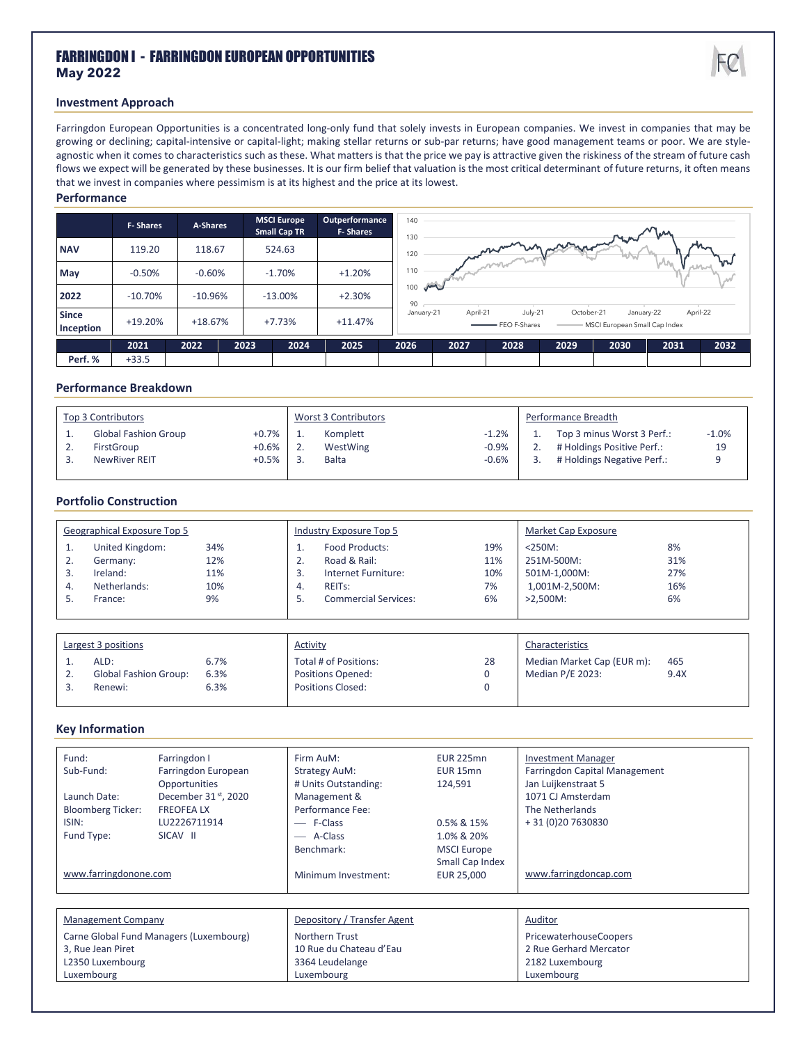# FARRINGDON I - FARRINGDON EUROPEAN OPPORTUNITIES **May 2022**



## **Investment Approach**

Farringdon European Opportunities is a concentrated long-only fund that solely invests in European companies. We invest in companies that may be growing or declining; capital-intensive or capital-light; making stellar returns or sub-par returns; have good management teams or poor. We are styleagnostic when it comes to characteristics such as these. What matters is that the price we pay is attractive given the riskiness of the stream of future cash flows we expect will be generated by these businesses. It is our firm belief that valuation is the most critical determinant of future returns, it often means that we invest in companies where pessimism is at its highest and the price at its lowest.

#### **Performance**

|                           | <b>F-Shares</b> | A-Shares  | <b>MSCI Europe</b><br><b>Small Cap TR</b> | Outperformance<br><b>F-Shares</b> | 140<br>130            |          |                                |            |                                             |          |      |
|---------------------------|-----------------|-----------|-------------------------------------------|-----------------------------------|-----------------------|----------|--------------------------------|------------|---------------------------------------------|----------|------|
| <b>NAV</b>                | 119.20          | 118.67    | 524.63                                    |                                   | 120                   |          | monumental politique de la May |            |                                             |          |      |
| May                       | $-0.50%$        | $-0.60%$  | $-1.70%$                                  | $+1.20%$                          | 110                   |          |                                |            |                                             |          |      |
| 2022                      | $-10.70%$       | $-10.96%$ | $-13.00%$                                 | $+2.30%$                          | والمنشان<br>100<br>90 |          |                                |            |                                             |          |      |
| <b>Since</b><br>Inception | $+19.20%$       | $+18.67%$ | $+7.73%$                                  | $+11.47%$                         | January-21            | April-21 | July-21<br>- FEO F-Shares      | October-21 | January-22<br>MSCI European Small Cap Index | April-22 |      |
|                           | 2021            | 2022      | 2023<br>2024                              | 2025                              | 2026                  | 2027     | 2028                           | 2029       | 2030                                        | 2031     | 2032 |
| Perf. %                   | $+33.5$         |           |                                           |                                   |                       |          |                                |            |                                             |          |      |

#### **Performance Breakdown**

| Top 3 Contributors |                                                                   |                              | Worst 3 Contributors |                                      |                               | Performance Breadth |                                                                                        |               |
|--------------------|-------------------------------------------------------------------|------------------------------|----------------------|--------------------------------------|-------------------------------|---------------------|----------------------------------------------------------------------------------------|---------------|
|                    | <b>Global Fashion Group</b><br>FirstGroup<br><b>NewRiver REIT</b> | $+0.7\%$<br>$+0.6%$<br>+0.5% |                      | Komplett<br>WestWing<br><b>Balta</b> | $-1.2%$<br>$-0.9%$<br>$-0.6%$ |                     | Top 3 minus Worst 3 Perf.:<br># Holdings Positive Perf.:<br># Holdings Negative Perf.: | $-1.0%$<br>19 |

### **Portfolio Construction**

| Geographical Exposure Top 5 |                                                                    |                                |                     | Industry Exposure Top 5                                                                                     |                               | Market Cap Exposure                                                      |                               |
|-----------------------------|--------------------------------------------------------------------|--------------------------------|---------------------|-------------------------------------------------------------------------------------------------------------|-------------------------------|--------------------------------------------------------------------------|-------------------------------|
| <b>.</b><br>2.<br>3.<br>4.  | United Kingdom:<br>Germany:<br>Ireland:<br>Netherlands:<br>France: | 34%<br>12%<br>11%<br>10%<br>9% | ۷<br>3.<br>4.<br>5. | Food Products:<br>Road & Rail:<br>Internet Furniture:<br>REIT <sub>S</sub> :<br><b>Commercial Services:</b> | 19%<br>11%<br>10%<br>7%<br>6% | $<$ 250M:<br>251M-500M:<br>501M-1,000M:<br>1,001M-2,500M:<br>$>2.500M$ : | 8%<br>31%<br>27%<br>16%<br>6% |
|                             |                                                                    |                                |                     |                                                                                                             |                               |                                                                          |                               |

| Largest 3 positions |                              |      | <b>Activity</b>          | Characteristics |                            |      |
|---------------------|------------------------------|------|--------------------------|-----------------|----------------------------|------|
|                     | ALD:                         | 6.7% | Total # of Positions:    | 28              | Median Market Cap (EUR m): | 465  |
|                     | <b>Global Fashion Group:</b> | 6.3% | <b>Positions Opened:</b> |                 | Median P/E 2023:           | 9.4X |
|                     | Renewi:                      | 6.3% | <b>Positions Closed:</b> |                 |                            |      |
|                     |                              |      |                          |                 |                            |      |

### **Key Information**

| Fund:                     | Farringdon I                            | Firm AuM:                   | <b>EUR 225mn</b>    | <b>Investment Manager</b>     |  |  |  |
|---------------------------|-----------------------------------------|-----------------------------|---------------------|-------------------------------|--|--|--|
| Sub-Fund:                 | Farringdon European                     | <b>Strategy AuM:</b>        | EUR <sub>15mn</sub> | Farringdon Capital Management |  |  |  |
|                           | <b>Opportunities</b>                    | # Units Outstanding:        | 124,591             | Jan Luijkenstraat 5           |  |  |  |
| Launch Date:              | December 31 <sup>st</sup> , 2020        | Management &                |                     | 1071 CJ Amsterdam             |  |  |  |
| <b>Bloomberg Ticker:</b>  | <b>FREOFEALX</b>                        | Performance Fee:            |                     | The Netherlands               |  |  |  |
| ISIN:                     | LU2226711914                            | - F-Class                   | 0.5% & 15%          | +31 (0) 20 7630830            |  |  |  |
| Fund Type:                | SICAV II                                | - A-Class                   | 1.0% & 20%          |                               |  |  |  |
|                           |                                         | Benchmark:                  | <b>MSCI Europe</b>  |                               |  |  |  |
|                           |                                         |                             | Small Cap Index     |                               |  |  |  |
| www.farringdonone.com     |                                         | Minimum Investment:         | EUR 25,000          | www.farringdoncap.com         |  |  |  |
|                           |                                         |                             |                     |                               |  |  |  |
|                           |                                         |                             |                     |                               |  |  |  |
| <b>Management Company</b> |                                         | Depository / Transfer Agent |                     | Auditor                       |  |  |  |
|                           | Carne Global Fund Managers (Luxembourg) | Northern Trust              |                     | <b>PricewaterhouseCoopers</b> |  |  |  |
| 3, Rue Jean Piret         |                                         | 10 Rue du Chateau d'Eau     |                     | 2 Rue Gerhard Mercator        |  |  |  |
| L2350 Luxembourg          |                                         | 3364 Leudelange             |                     | 2182 Luxembourg               |  |  |  |
| Luxembourg                |                                         | Luxembourg                  |                     | Luxembourg                    |  |  |  |